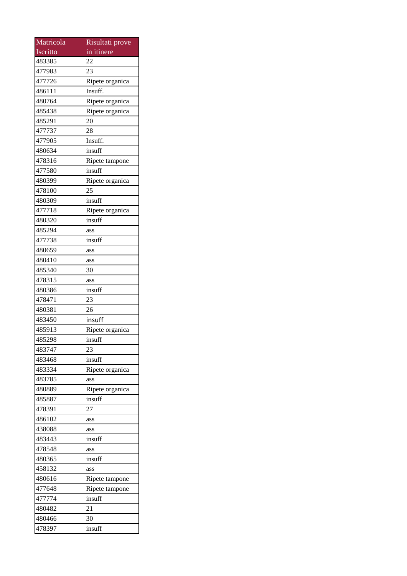| Matricola | Risultati prove |
|-----------|-----------------|
| Iscritto  | in itinere      |
| 483385    | 22              |
| 477983    | 23              |
| 477726    | Ripete organica |
| 486111    | Insuff.         |
| 480764    | Ripete organica |
| 485438    | Ripete organica |
| 485291    | 20              |
| 477737    | 28              |
| 477905    | Insuff.         |
| 480634    | insuff          |
| 478316    | Ripete tampone  |
| 477580    | insuff          |
| 480399    | Ripete organica |
| 478100    | 25              |
| 480309    | insuff          |
| 477718    | Ripete organica |
| 480320    | insuff          |
| 485294    | ass             |
| 477738    | insuff          |
| 480659    | ass             |
| 480410    | ass             |
| 485340    | 30              |
| 478315    | ass             |
| 480386    | insuff          |
| 478471    | 23              |
| 480381    | 26              |
| 483450    | insuff          |
| 485913    | Ripete organica |
| 485298    | insuff          |
| 483747    | 23              |
| 483468    | insuff          |
| 483334    | Ripete organica |
| 483785    | ass             |
| 480889    | Ripete organica |
| 485887    | insuff          |
| 478391    | 27              |
| 486102    | ass             |
| 438088    | ass             |
| 483443    | insuff          |
| 478548    | ass             |
| 480365    | insuff          |
| 458132    | ass             |
| 480616    | Ripete tampone  |
| 477648    | Ripete tampone  |
| 477774    | insuff          |
| 480482    | 21              |
| 480466    | 30              |
| 478397    | insuff          |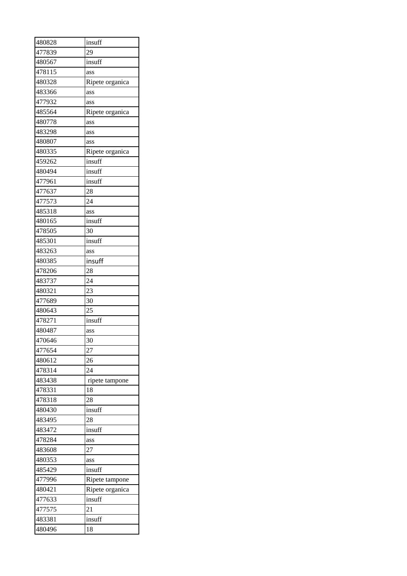| 480828 | insuff          |
|--------|-----------------|
| 477839 | 29              |
| 480567 | insuff          |
| 478115 | ass             |
| 480328 | Ripete organica |
| 483366 | ass             |
| 477932 | ass             |
| 485564 | Ripete organica |
| 480778 | ass             |
| 483298 | ass             |
| 480807 | ass             |
| 480335 | Ripete organica |
| 459262 | insuff          |
| 480494 | insuff          |
| 477961 | insuff          |
| 477637 | 28              |
| 477573 | 24              |
| 485318 | ass             |
| 480165 | insuff          |
| 478505 | 30              |
| 485301 | insuff          |
| 483263 | ass             |
| 480385 | insuff          |
| 478206 | 28              |
| 483737 | 24              |
| 480321 | 23              |
| 477689 | 30              |
| 480643 | 25              |
| 478271 | insuff          |
| 480487 | ass             |
| 470646 | 30              |
| 477654 | 27              |
| 480612 | 26              |
| 478314 | 24              |
| 483438 | ripete tampone  |
| 478331 | 18              |
| 478318 | 28              |
| 480430 | insuff          |
| 483495 | 28              |
| 483472 | insuff          |
| 478284 | ass             |
| 483608 | 27              |
| 480353 | ass             |
| 485429 | insuff          |
| 477996 | Ripete tampone  |
| 480421 | Ripete organica |
| 477633 | insuff          |
| 477575 | $\overline{21}$ |
| 483381 | insuff          |
|        | 18              |
| 480496 |                 |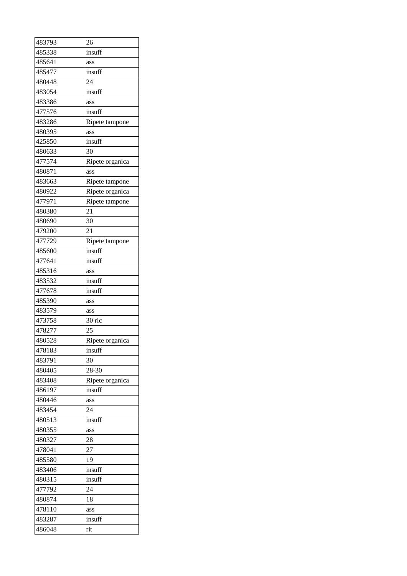| 483793 | 26              |
|--------|-----------------|
| 485338 | insuff          |
| 485641 | ass             |
| 485477 | insuff          |
| 480448 | 24              |
| 483054 | insuff          |
| 483386 | ass             |
| 477576 | insuff          |
| 483286 | Ripete tampone  |
| 480395 | ass             |
| 425850 | insuff          |
| 480633 | 30              |
| 477574 | Ripete organica |
| 480871 | ass             |
| 483663 | Ripete tampone  |
| 480922 | Ripete organica |
| 477971 | Ripete tampone  |
| 480380 | 21              |
| 480690 | 30              |
| 479200 | 21              |
| 477729 | Ripete tampone  |
| 485600 | insuff          |
| 477641 | insuff          |
| 485316 | ass             |
| 483532 | insuff          |
| 477678 | insuff          |
| 485390 | ass             |
| 483579 | ass             |
| 473758 | 30 ric          |
| 478277 | 25              |
| 480528 | Ripete organica |
| 478183 | insuff          |
| 483791 | 30              |
| 480405 | 28-30           |
| 483408 | Ripete organica |
| 486197 | insuff          |
| 480446 | ass             |
| 483454 | 24              |
| 480513 | insuff          |
| 480355 | ass             |
| 480327 | 28              |
| 478041 | 27              |
| 485580 | 19              |
| 483406 | insuff          |
| 480315 | insuff          |
| 477792 | 24              |
| 480874 | 18              |
| 478110 | ass             |
| 483287 | insuff          |
| 486048 | rit             |
|        |                 |